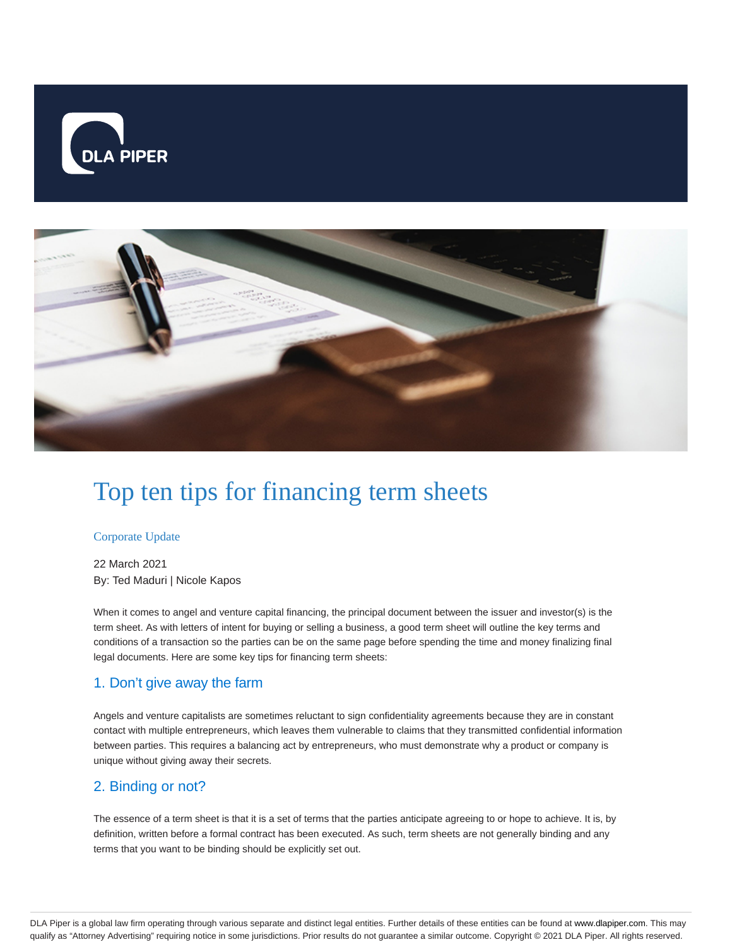



# Top ten tips for financing term sheets

#### Corporate Update

22 March 2021 By: Ted Maduri | Nicole Kapos

When it comes to angel and venture capital financing, the principal document between the issuer and investor(s) is the term sheet. As with letters of intent for buying or selling a business, a good term sheet will outline the key terms and conditions of a transaction so the parties can be on the same page before spending the time and money finalizing final legal documents. Here are some key tips for financing term sheets:

#### 1. Don't give away the farm

Angels and venture capitalists are sometimes reluctant to sign confidentiality agreements because they are in constant contact with multiple entrepreneurs, which leaves them vulnerable to claims that they transmitted confidential information between parties. This requires a balancing act by entrepreneurs, who must demonstrate why a product or company is unique without giving away their secrets.

#### 2. Binding or not?

The essence of a term sheet is that it is a set of terms that the parties anticipate agreeing to or hope to achieve. It is, by definition, written before a formal contract has been executed. As such, term sheets are not generally binding and any terms that you want to be binding should be explicitly set out.

DLA Piper is a global law firm operating through various separate and distinct legal entities. Further details of these entities can be found at www.dlapiper.com. This may qualify as "Attorney Advertising" requiring notice in some jurisdictions. Prior results do not guarantee a similar outcome. Copyright © 2021 DLA Piper. All rights reserved.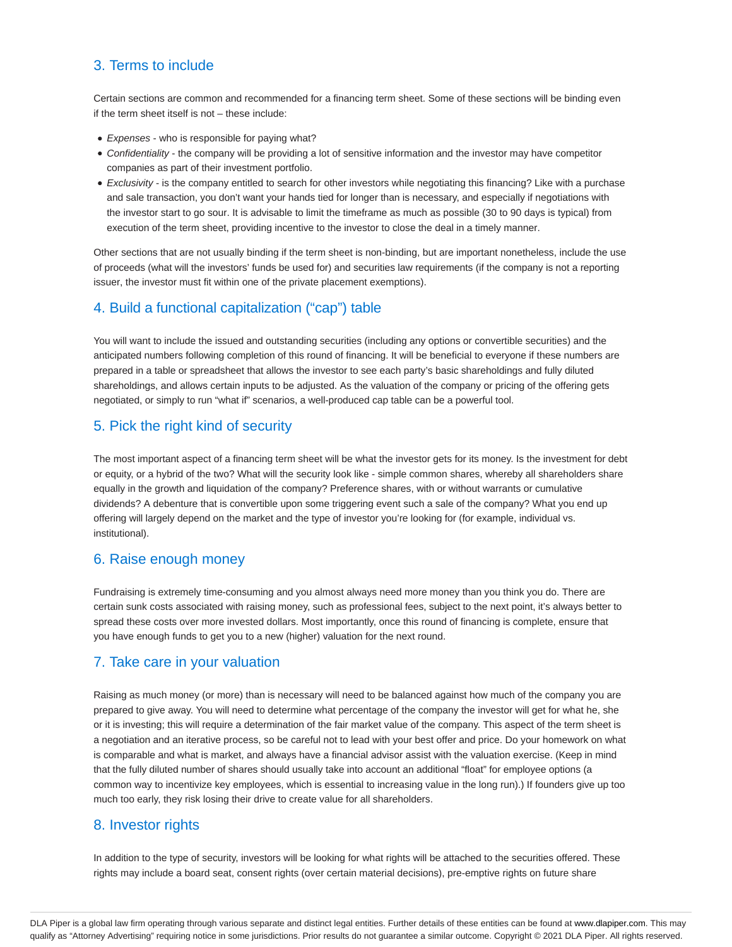## 3. Terms to include

Certain sections are common and recommended for a financing term sheet. Some of these sections will be binding even if the term sheet itself is not – these include:

- **Expenses who is responsible for paying what?**
- Confidentiality the company will be providing a lot of sensitive information and the investor may have competitor companies as part of their investment portfolio.
- Exclusivity is the company entitled to search for other investors while negotiating this financing? Like with a purchase and sale transaction, you don't want your hands tied for longer than is necessary, and especially if negotiations with the investor start to go sour. It is advisable to limit the timeframe as much as possible (30 to 90 days is typical) from execution of the term sheet, providing incentive to the investor to close the deal in a timely manner.

Other sections that are not usually binding if the term sheet is non-binding, but are important nonetheless, include the use of proceeds (what will the investors' funds be used for) and securities law requirements (if the company is not a reporting issuer, the investor must fit within one of the private placement exemptions).

## 4. Build a functional capitalization ("cap") table

You will want to include the issued and outstanding securities (including any options or convertible securities) and the anticipated numbers following completion of this round of financing. It will be beneficial to everyone if these numbers are prepared in a table or spreadsheet that allows the investor to see each party's basic shareholdings and fully diluted shareholdings, and allows certain inputs to be adjusted. As the valuation of the company or pricing of the offering gets negotiated, or simply to run "what if" scenarios, a well-produced cap table can be a powerful tool.

## 5. Pick the right kind of security

The most important aspect of a financing term sheet will be what the investor gets for its money. Is the investment for debt or equity, or a hybrid of the two? What will the security look like - simple common shares, whereby all shareholders share equally in the growth and liquidation of the company? Preference shares, with or without warrants or cumulative dividends? A debenture that is convertible upon some triggering event such a sale of the company? What you end up offering will largely depend on the market and the type of investor you're looking for (for example, individual vs. institutional).

#### 6. Raise enough money

Fundraising is extremely time-consuming and you almost always need more money than you think you do. There are certain sunk costs associated with raising money, such as professional fees, subject to the next point, it's always better to spread these costs over more invested dollars. Most importantly, once this round of financing is complete, ensure that you have enough funds to get you to a new (higher) valuation for the next round.

## 7. Take care in your valuation

Raising as much money (or more) than is necessary will need to be balanced against how much of the company you are prepared to give away. You will need to determine what percentage of the company the investor will get for what he, she or it is investing; this will require a determination of the fair market value of the company. This aspect of the term sheet is a negotiation and an iterative process, so be careful not to lead with your best offer and price. Do your homework on what is comparable and what is market, and always have a financial advisor assist with the valuation exercise. (Keep in mind that the fully diluted number of shares should usually take into account an additional "float" for employee options (a common way to incentivize key employees, which is essential to increasing value in the long run).) If founders give up too much too early, they risk losing their drive to create value for all shareholders.

## 8. Investor rights

In addition to the type of security, investors will be looking for what rights will be attached to the securities offered. These rights may include a board seat, consent rights (over certain material decisions), pre-emptive rights on future share